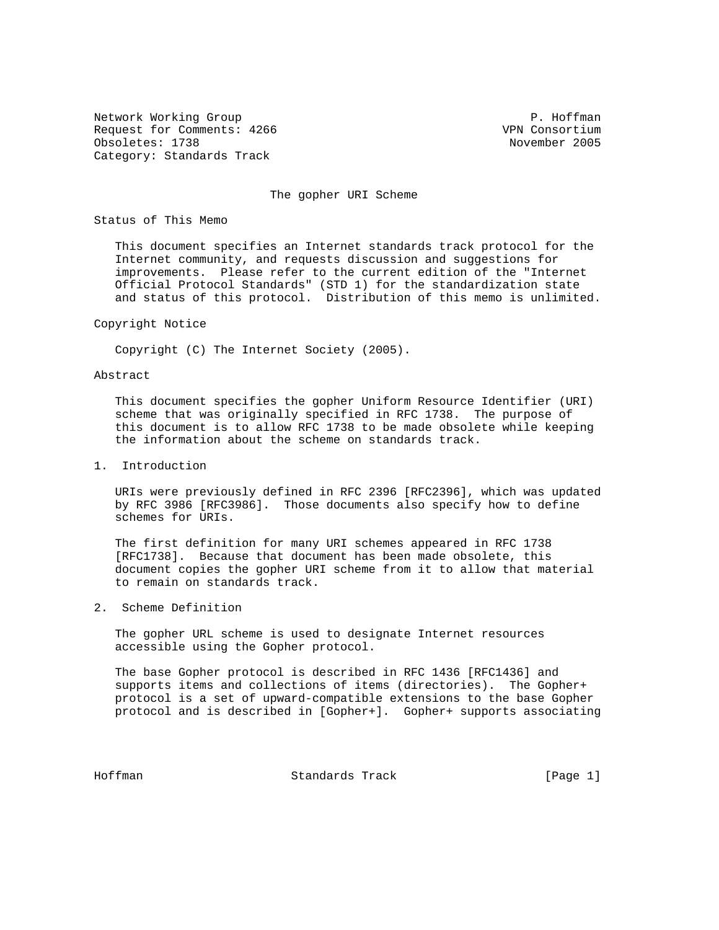Network Working Group **P. Hoffman** Request for Comments: 4266 VPN Consortium Obsoletes: 1738 November 2005 Category: Standards Track

## The gopher URI Scheme

Status of This Memo

 This document specifies an Internet standards track protocol for the Internet community, and requests discussion and suggestions for improvements. Please refer to the current edition of the "Internet Official Protocol Standards" (STD 1) for the standardization state and status of this protocol. Distribution of this memo is unlimited.

### Copyright Notice

Copyright (C) The Internet Society (2005).

# Abstract

 This document specifies the gopher Uniform Resource Identifier (URI) scheme that was originally specified in RFC 1738. The purpose of this document is to allow RFC 1738 to be made obsolete while keeping the information about the scheme on standards track.

## 1. Introduction

 URIs were previously defined in RFC 2396 [RFC2396], which was updated by RFC 3986 [RFC3986]. Those documents also specify how to define schemes for URIs.

 The first definition for many URI schemes appeared in RFC 1738 [RFC1738]. Because that document has been made obsolete, this document copies the gopher URI scheme from it to allow that material to remain on standards track.

2. Scheme Definition

 The gopher URL scheme is used to designate Internet resources accessible using the Gopher protocol.

 The base Gopher protocol is described in RFC 1436 [RFC1436] and supports items and collections of items (directories). The Gopher+ protocol is a set of upward-compatible extensions to the base Gopher protocol and is described in [Gopher+]. Gopher+ supports associating

Hoffman Standards Track [Page 1]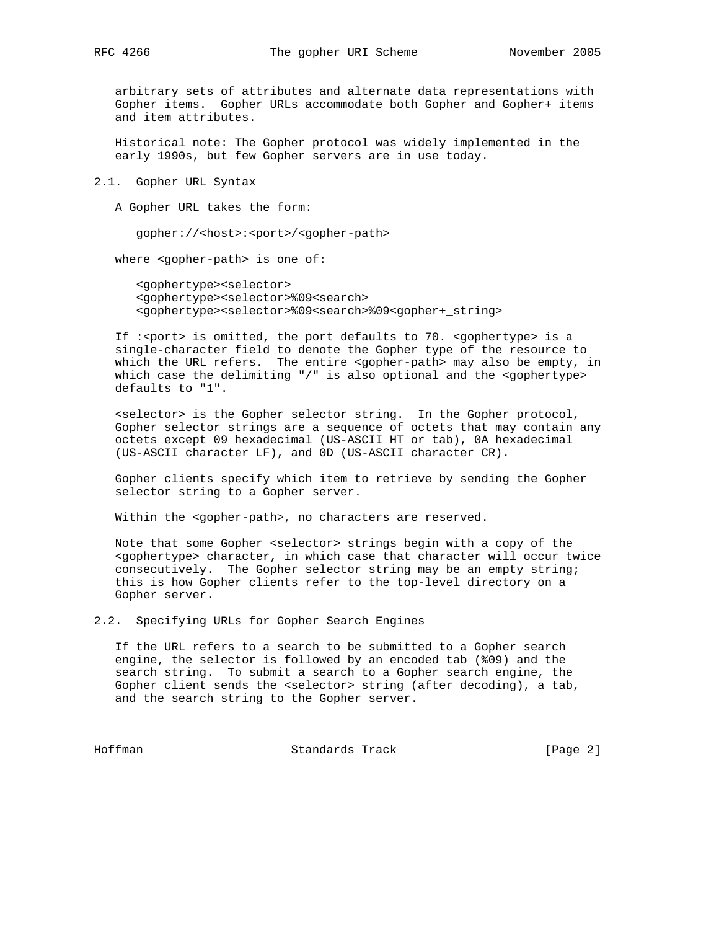arbitrary sets of attributes and alternate data representations with Gopher items. Gopher URLs accommodate both Gopher and Gopher+ items and item attributes.

 Historical note: The Gopher protocol was widely implemented in the early 1990s, but few Gopher servers are in use today.

2.1. Gopher URL Syntax

A Gopher URL takes the form:

gopher://<host>:<port>/<gopher-path>

where <gopher-path> is one of:

 <gophertype><selector> <gophertype><selector>%09<search> <gophertype><selector>%09<search>%09<gopher+\_string>

 If :<port> is omitted, the port defaults to 70. <gophertype> is a single-character field to denote the Gopher type of the resource to which the URL refers. The entire <gopher-path> may also be empty, in which case the delimiting "/" is also optional and the <gophertype> defaults to "1".

 <selector> is the Gopher selector string. In the Gopher protocol, Gopher selector strings are a sequence of octets that may contain any octets except 09 hexadecimal (US-ASCII HT or tab), 0A hexadecimal (US-ASCII character LF), and 0D (US-ASCII character CR).

 Gopher clients specify which item to retrieve by sending the Gopher selector string to a Gopher server.

Within the <gopher-path>, no characters are reserved.

Note that some Gopher <selector> strings begin with a copy of the <gophertype> character, in which case that character will occur twice consecutively. The Gopher selector string may be an empty string; this is how Gopher clients refer to the top-level directory on a Gopher server.

2.2. Specifying URLs for Gopher Search Engines

 If the URL refers to a search to be submitted to a Gopher search engine, the selector is followed by an encoded tab (%09) and the search string. To submit a search to a Gopher search engine, the Gopher client sends the <selector> string (after decoding), a tab, and the search string to the Gopher server.

Hoffman Standards Track [Page 2]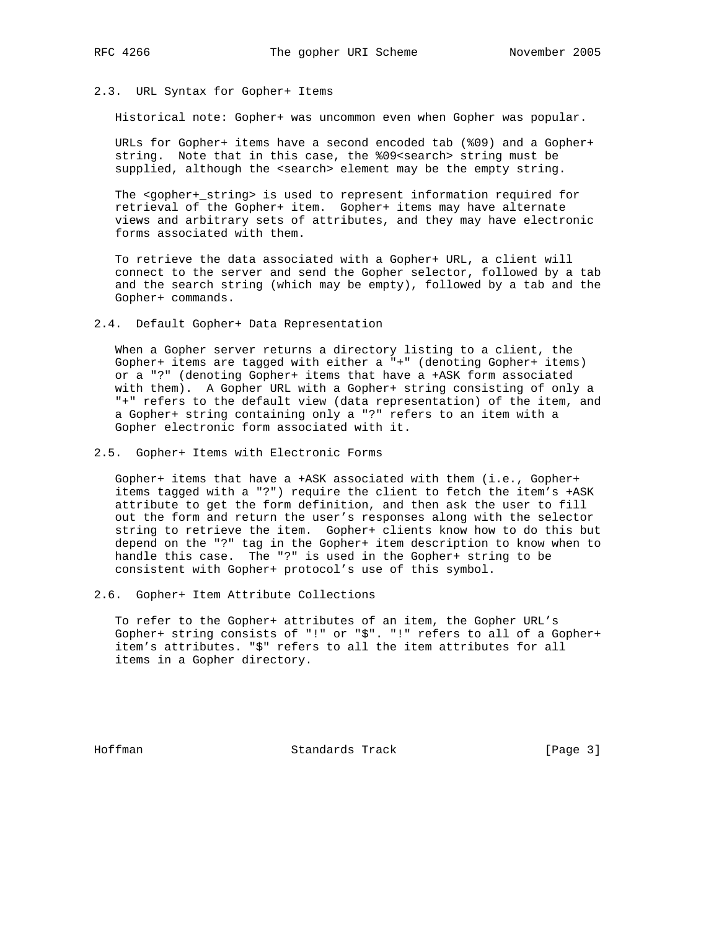# 2.3. URL Syntax for Gopher+ Items

Historical note: Gopher+ was uncommon even when Gopher was popular.

 URLs for Gopher+ items have a second encoded tab (%09) and a Gopher+ string. Note that in this case, the %09<search> string must be supplied, although the <search> element may be the empty string.

 The <gopher+\_string> is used to represent information required for retrieval of the Gopher+ item. Gopher+ items may have alternate views and arbitrary sets of attributes, and they may have electronic forms associated with them.

 To retrieve the data associated with a Gopher+ URL, a client will connect to the server and send the Gopher selector, followed by a tab and the search string (which may be empty), followed by a tab and the Gopher+ commands.

### 2.4. Default Gopher+ Data Representation

 When a Gopher server returns a directory listing to a client, the Gopher+ items are tagged with either a "+" (denoting Gopher+ items) or a "?" (denoting Gopher+ items that have a +ASK form associated with them). A Gopher URL with a Gopher+ string consisting of only a "+" refers to the default view (data representation) of the item, and a Gopher+ string containing only a "?" refers to an item with a Gopher electronic form associated with it.

2.5. Gopher+ Items with Electronic Forms

 Gopher+ items that have a +ASK associated with them (i.e., Gopher+ items tagged with a "?") require the client to fetch the item's +ASK attribute to get the form definition, and then ask the user to fill out the form and return the user's responses along with the selector string to retrieve the item. Gopher+ clients know how to do this but depend on the "?" tag in the Gopher+ item description to know when to handle this case. The "?" is used in the Gopher+ string to be consistent with Gopher+ protocol's use of this symbol.

2.6. Gopher+ Item Attribute Collections

 To refer to the Gopher+ attributes of an item, the Gopher URL's Gopher+ string consists of "!" or "\$". "!" refers to all of a Gopher+ item's attributes. "\$" refers to all the item attributes for all items in a Gopher directory.

Hoffman Standards Track [Page 3]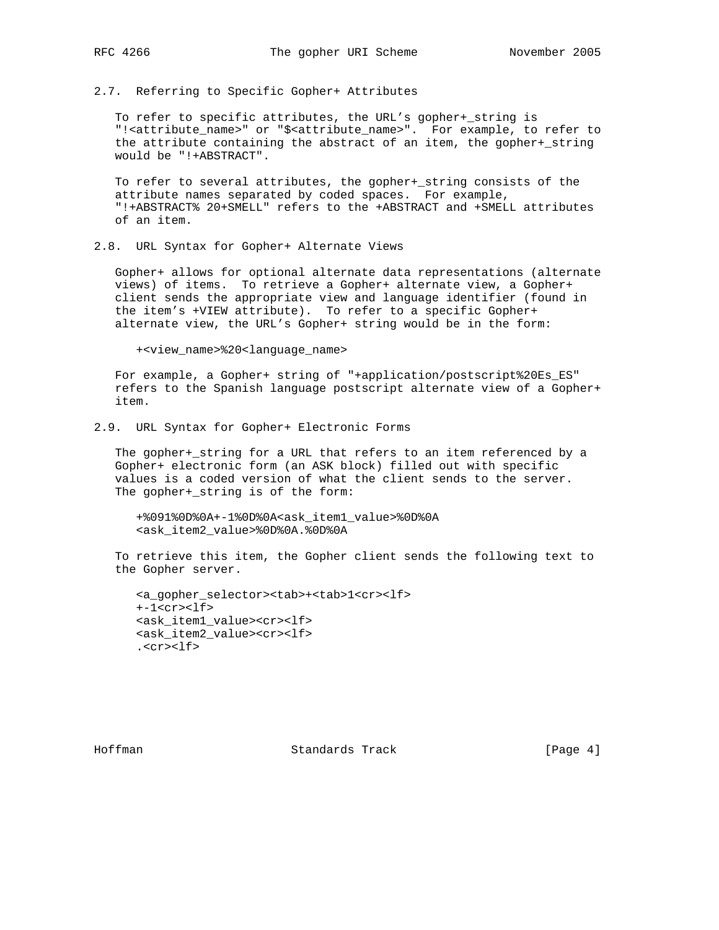2.7. Referring to Specific Gopher+ Attributes

 To refer to specific attributes, the URL's gopher+\_string is "!<attribute\_name>" or "\$<attribute\_name>". For example, to refer to the attribute containing the abstract of an item, the gopher+\_string would be "!+ABSTRACT".

 To refer to several attributes, the gopher+\_string consists of the attribute names separated by coded spaces. For example, "!+ABSTRACT% 20+SMELL" refers to the +ABSTRACT and +SMELL attributes of an item.

# 2.8. URL Syntax for Gopher+ Alternate Views

 Gopher+ allows for optional alternate data representations (alternate views) of items. To retrieve a Gopher+ alternate view, a Gopher+ client sends the appropriate view and language identifier (found in the item's +VIEW attribute). To refer to a specific Gopher+ alternate view, the URL's Gopher+ string would be in the form:

+<view\_name>%20<language\_name>

 For example, a Gopher+ string of "+application/postscript%20Es\_ES" refers to the Spanish language postscript alternate view of a Gopher+ item.

2.9. URL Syntax for Gopher+ Electronic Forms

 The gopher+\_string for a URL that refers to an item referenced by a Gopher+ electronic form (an ASK block) filled out with specific values is a coded version of what the client sends to the server. The gopher+\_string is of the form:

 +%091%0D%0A+-1%0D%0A<ask\_item1\_value>%0D%0A <ask\_item2\_value>%0D%0A.%0D%0A

 To retrieve this item, the Gopher client sends the following text to the Gopher server.

 <a\_gopher\_selector><tab>+<tab>1<cr><lf> +-1<cr><lf> <ask\_item1\_value><cr><lf> <ask\_item2\_value><cr><lf> .<cr><lf>

Hoffman Standards Track [Page 4]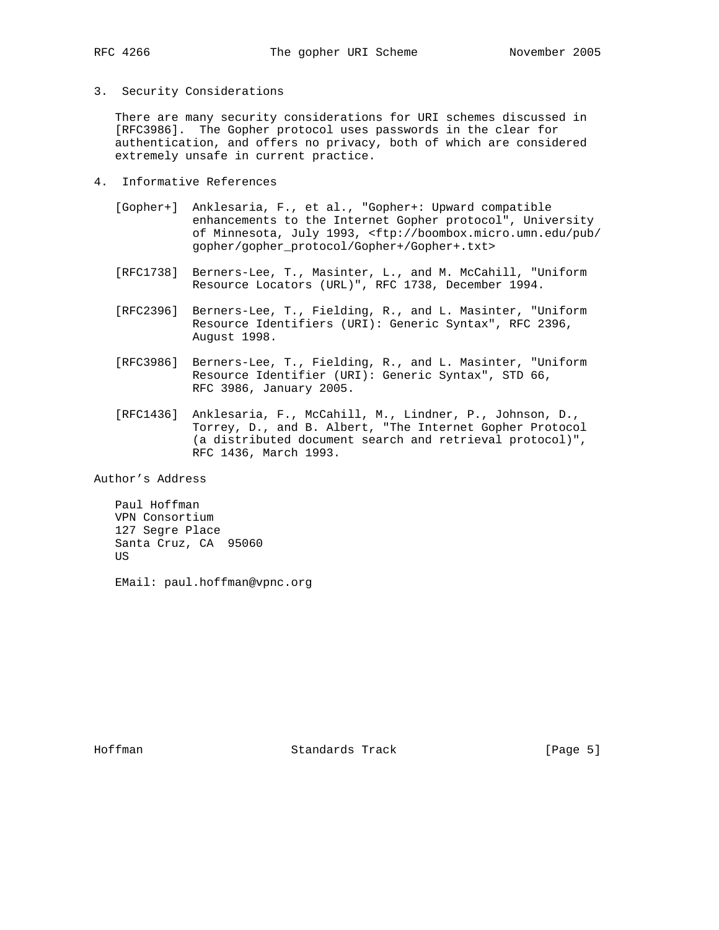3. Security Considerations

 There are many security considerations for URI schemes discussed in [RFC3986]. The Gopher protocol uses passwords in the clear for authentication, and offers no privacy, both of which are considered extremely unsafe in current practice.

- 4. Informative References
	- [Gopher+] Anklesaria, F., et al., "Gopher+: Upward compatible enhancements to the Internet Gopher protocol", University of Minnesota, July 1993, <ftp://boombox.micro.umn.edu/pub/ gopher/gopher\_protocol/Gopher+/Gopher+.txt>
	- [RFC1738] Berners-Lee, T., Masinter, L., and M. McCahill, "Uniform Resource Locators (URL)", RFC 1738, December 1994.
	- [RFC2396] Berners-Lee, T., Fielding, R., and L. Masinter, "Uniform Resource Identifiers (URI): Generic Syntax", RFC 2396, August 1998.
	- [RFC3986] Berners-Lee, T., Fielding, R., and L. Masinter, "Uniform Resource Identifier (URI): Generic Syntax", STD 66, RFC 3986, January 2005.
	- [RFC1436] Anklesaria, F., McCahill, M., Lindner, P., Johnson, D., Torrey, D., and B. Albert, "The Internet Gopher Protocol (a distributed document search and retrieval protocol)", RFC 1436, March 1993.

Author's Address

 Paul Hoffman VPN Consortium 127 Segre Place Santa Cruz, CA 95060 **US** 

EMail: paul.hoffman@vpnc.org

Hoffman Standards Track [Page 5]